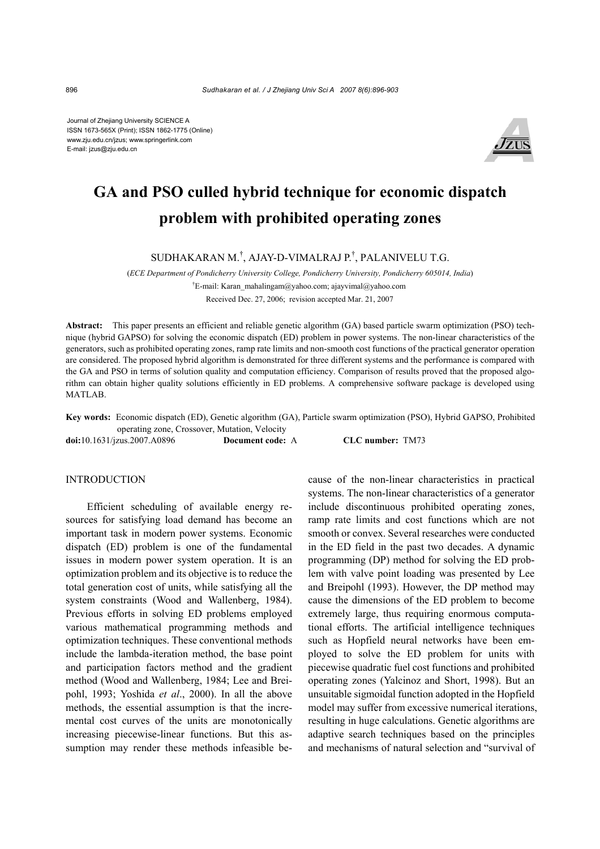Journal of Zhejiang University SCIENCE A ISSN 1673-565X (Print); ISSN 1862-1775 (Online) www.zju.edu.cn/jzus; www.springerlink.com E-mail: jzus@zju.edu.cn



# **GA and PSO culled hybrid technique for economic dispatch problem with prohibited operating zones**

SUDHAKARAN M.† , AJAY-D-VIMALRAJ P.† , PALANIVELU T.G.

(*ECE Department of Pondicherry University College, Pondicherry University, Pondicherry 605014, India*)

† E-mail: Karan\_mahalingam@yahoo.com; ajayvimal@yahoo.com

Received Dec. 27, 2006; revision accepted Mar. 21, 2007

**Abstract:** This paper presents an efficient and reliable genetic algorithm (GA) based particle swarm optimization (PSO) technique (hybrid GAPSO) for solving the economic dispatch (ED) problem in power systems. The non-linear characteristics of the generators, such as prohibited operating zones, ramp rate limits and non-smooth cost functions of the practical generator operation are considered. The proposed hybrid algorithm is demonstrated for three different systems and the performance is compared with the GA and PSO in terms of solution quality and computation efficiency. Comparison of results proved that the proposed algorithm can obtain higher quality solutions efficiently in ED problems. A comprehensive software package is developed using MATLAB.

**Key words:** Economic dispatch (ED), Genetic algorithm (GA), Particle swarm optimization (PSO), Hybrid GAPSO, Prohibited operating zone, Crossover, Mutation, Velocity **doi:**10.1631/jzus.2007.A0896 **Document code:** A **CLC number:** TM73

**INTRODUCTION** 

Efficient scheduling of available energy resources for satisfying load demand has become an important task in modern power systems. Economic dispatch (ED) problem is one of the fundamental issues in modern power system operation. It is an optimization problem and its objective is to reduce the total generation cost of units, while satisfying all the system constraints (Wood and Wallenberg, 1984). Previous efforts in solving ED problems employed various mathematical programming methods and optimization techniques. These conventional methods include the lambda-iteration method, the base point and participation factors method and the gradient method (Wood and Wallenberg, 1984; Lee and Breipohl, 1993; Yoshida *et al*., 2000). In all the above methods, the essential assumption is that the incremental cost curves of the units are monotonically increasing piecewise-linear functions. But this assumption may render these methods infeasible because of the non-linear characteristics in practical systems. The non-linear characteristics of a generator include discontinuous prohibited operating zones, ramp rate limits and cost functions which are not smooth or convex. Several researches were conducted in the ED field in the past two decades. A dynamic programming (DP) method for solving the ED problem with valve point loading was presented by Lee and Breipohl (1993). However, the DP method may cause the dimensions of the ED problem to become extremely large, thus requiring enormous computational efforts. The artificial intelligence techniques such as Hopfield neural networks have been employed to solve the ED problem for units with piecewise quadratic fuel cost functions and prohibited operating zones (Yalcinoz and Short, 1998). But an unsuitable sigmoidal function adopted in the Hopfield model may suffer from excessive numerical iterations, resulting in huge calculations. Genetic algorithms are adaptive search techniques based on the principles and mechanisms of natural selection and "survival of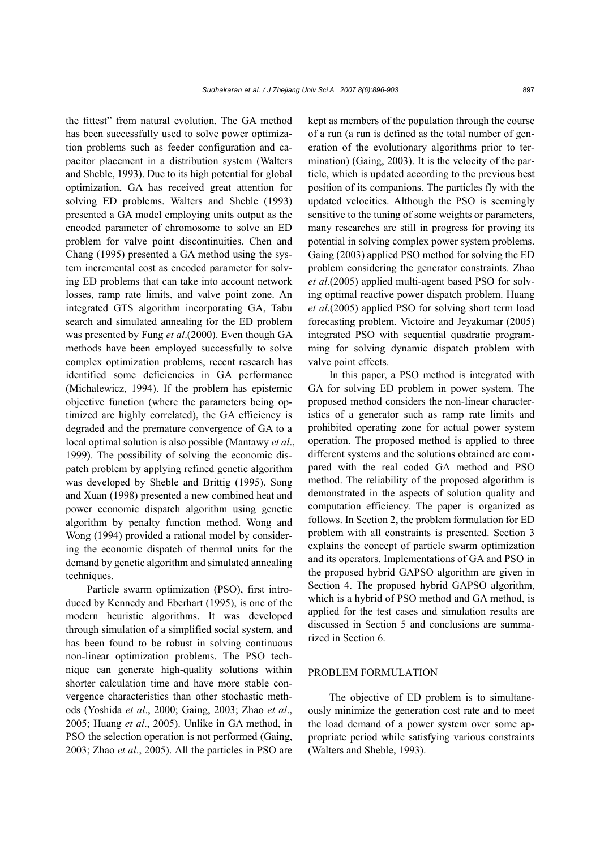the fittest" from natural evolution. The GA method has been successfully used to solve power optimization problems such as feeder configuration and capacitor placement in a distribution system (Walters and Sheble, 1993). Due to its high potential for global optimization, GA has received great attention for solving ED problems. Walters and Sheble (1993) presented a GA model employing units output as the encoded parameter of chromosome to solve an ED problem for valve point discontinuities. Chen and Chang (1995) presented a GA method using the system incremental cost as encoded parameter for solving ED problems that can take into account network losses, ramp rate limits, and valve point zone. An integrated GTS algorithm incorporating GA, Tabu search and simulated annealing for the ED problem was presented by Fung *et al*.(2000). Even though GA methods have been employed successfully to solve complex optimization problems, recent research has identified some deficiencies in GA performance (Michalewicz, 1994). If the problem has epistemic objective function (where the parameters being optimized are highly correlated), the GA efficiency is degraded and the premature convergence of GA to a local optimal solution is also possible (Mantawy *et al*., 1999). The possibility of solving the economic dispatch problem by applying refined genetic algorithm was developed by Sheble and Brittig (1995). Song and Xuan (1998) presented a new combined heat and power economic dispatch algorithm using genetic algorithm by penalty function method. Wong and Wong (1994) provided a rational model by considering the economic dispatch of thermal units for the demand by genetic algorithm and simulated annealing techniques.

Particle swarm optimization (PSO), first introduced by Kennedy and Eberhart (1995), is one of the modern heuristic algorithms. It was developed through simulation of a simplified social system, and has been found to be robust in solving continuous non-linear optimization problems. The PSO technique can generate high-quality solutions within shorter calculation time and have more stable convergence characteristics than other stochastic methods (Yoshida *et al*., 2000; Gaing, 2003; Zhao *et al*., 2005; Huang *et al*., 2005). Unlike in GA method, in PSO the selection operation is not performed (Gaing, 2003; Zhao *et al*., 2005). All the particles in PSO are

kept as members of the population through the course of a run (a run is defined as the total number of generation of the evolutionary algorithms prior to termination) (Gaing, 2003). It is the velocity of the particle, which is updated according to the previous best position of its companions. The particles fly with the updated velocities. Although the PSO is seemingly sensitive to the tuning of some weights or parameters, many researches are still in progress for proving its potential in solving complex power system problems. Gaing (2003) applied PSO method for solving the ED problem considering the generator constraints. Zhao *et al*.(2005) applied multi-agent based PSO for solving optimal reactive power dispatch problem. Huang *et al*.(2005) applied PSO for solving short term load forecasting problem. Victoire and Jeyakumar (2005) integrated PSO with sequential quadratic programming for solving dynamic dispatch problem with valve point effects.

In this paper, a PSO method is integrated with GA for solving ED problem in power system. The proposed method considers the non-linear characteristics of a generator such as ramp rate limits and prohibited operating zone for actual power system operation. The proposed method is applied to three different systems and the solutions obtained are compared with the real coded GA method and PSO method. The reliability of the proposed algorithm is demonstrated in the aspects of solution quality and computation efficiency. The paper is organized as follows. In Section 2, the problem formulation for ED problem with all constraints is presented. Section 3 explains the concept of particle swarm optimization and its operators. Implementations of GA and PSO in the proposed hybrid GAPSO algorithm are given in Section 4. The proposed hybrid GAPSO algorithm, which is a hybrid of PSO method and GA method, is applied for the test cases and simulation results are discussed in Section 5 and conclusions are summarized in Section 6.

## PROBLEM FORMULATION

The objective of ED problem is to simultaneously minimize the generation cost rate and to meet the load demand of a power system over some appropriate period while satisfying various constraints (Walters and Sheble, 1993).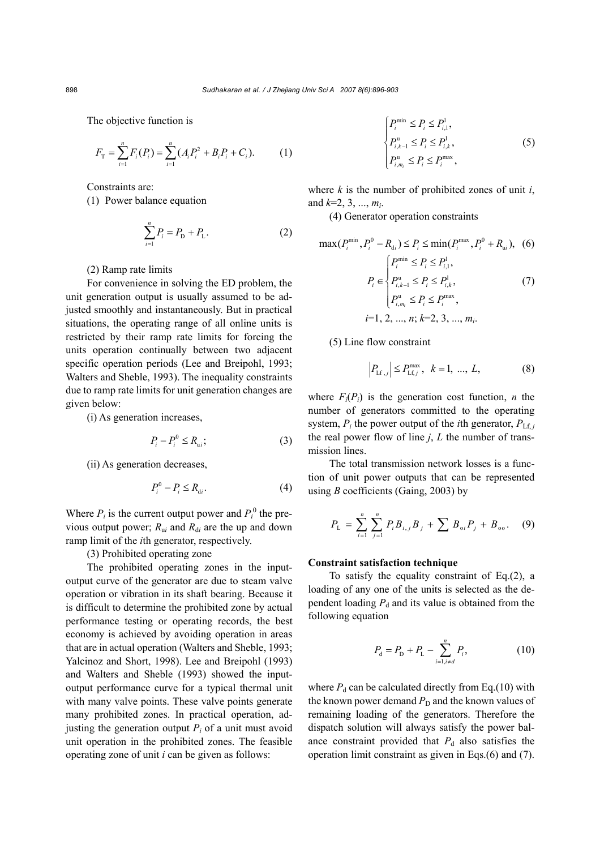The objective function is

$$
F_{\rm T} = \sum_{i=1}^{n} F_i(P_i) = \sum_{i=1}^{n} (A_i P_i^2 + B_i P_i + C_i). \tag{1}
$$

Constraints are:

(1) Power balance equation

$$
\sum_{i=1}^{n} P_i = P_{\rm D} + P_{\rm L}.
$$
 (2)

# (2) Ramp rate limits

For convenience in solving the ED problem, the unit generation output is usually assumed to be adjusted smoothly and instantaneously. But in practical situations, the operating range of all online units is restricted by their ramp rate limits for forcing the units operation continually between two adjacent specific operation periods (Lee and Breipohl, 1993; Walters and Sheble, 1993). The inequality constraints due to ramp rate limits for unit generation changes are given below:

(i) As generation increases,

$$
P_i - P_i^0 \le R_{ui};\tag{3}
$$

(ii) As generation decreases,

$$
P_i^0 - P_i \le R_{di}.\tag{4}
$$

Where  $P_i$  is the current output power and  $P_i^0$  the previous output power;  $R_{\rm u}$  and  $R_{\rm d}$  are the up and down ramp limit of the *i*th generator, respectively.

(3) Prohibited operating zone

The prohibited operating zones in the inputoutput curve of the generator are due to steam valve operation or vibration in its shaft bearing. Because it is difficult to determine the prohibited zone by actual performance testing or operating records, the best economy is achieved by avoiding operation in areas that are in actual operation (Walters and Sheble, 1993; Yalcinoz and Short, 1998). Lee and Breipohl (1993) and Walters and Sheble (1993) showed the inputoutput performance curve for a typical thermal unit with many valve points. These valve points generate many prohibited zones. In practical operation, adjusting the generation output  $P_i$  of a unit must avoid unit operation in the prohibited zones. The feasible operating zone of unit *i* can be given as follows:

$$
\begin{cases}\nP_i^{\min} \le P_i \le P_{i,1}^1, \\
P_{i,k-1}^u \le P_i \le P_{i,k}^1, \\
P_{i,m_i}^u \le P_i \le P_i^{\max},\n\end{cases} \tag{5}
$$

where  $k$  is the number of prohibited zones of unit  $i$ , and *k*=2, 3, ..., *mi*.

(4) Generator operation constraints

$$
\max(P_i^{\min}, P_i^0 - R_{di}) \le P_i \le \min(P_i^{\max}, P_i^0 + R_{ui}), \tag{6}
$$
\n
$$
P_i \in \left\{ P_i^{\min} \le P_i \le P_{i,1}^1, P_i^0 \le P_i^1 \le P_{i,k}^1, P_{i,k}^1, P_{i,k}^1, P_{i,k}^1, P_{i,k}^1, P_{i,k}^1, P_{i,k}^1, P_{i,k}^1, P_{i,k}^1, P_{i,k}^1, P_{i,k}^1, P_{i,k}^1, P_{i,k}^1, P_{i,k}^1, P_{i,k}^1, P_{i,k}^1, P_{i,k}^1, P_{i,k}^1, P_{i,k}^1, P_{i,k}^1, P_{i,k}^1, P_{i,k}^1, P_{i,k}^1, P_{i,k}^1, P_{i,k}^1, P_{i,k}^1, P_{i,k}^1, P_{i,k}^1, P_{i,k}^1, P_{i,k}^1, P_{i,k}^1, P_{i,k}^1, P_{i,k}^1, P_{i,k}^1, P_{i,k}^1, P_{i,k}^1, P_{i,k}^1, P_{i,k}^1, P_{i,k}^1, P_{i,k}^1, P_{i,k}^1, P_{i,k}^1, P_{i,k}^1, P_{i,k}^1, P_{i,k}^1, P_{i,k}^1, P_{i,k}^1, P_{i,k}^1, P_{i,k}^1, P_{i,k}^1, P_{i,k}^1, P_{i,k}^1, P_{i,k}^1, P_{i,k}^1, P_{i,k}^1, P_{i,k}^1, P_{i,k}^1, P_{i,k}^1, P_{i,k}^1, P_{i,k}^1, P_{i,k}^1, P_{i,k}^1, P_{i,k}^1, P_{i,k}^1, P_{i,k}^1, P_{i,k}^1, P_{i,k}^1, P_{i,k}^1, P_{i,k}^1, P_{i,k}^1, P_{i,k}^1, P_{i,k}^1, P_{i,k}^1, P_{i,k}^1, P_{i,k}^1, P_{i,k}^1, P_{i,k}^1, P_{i,k}^1, P_{i,k}^1, P_{i,k}^1, P_{i,k}^1, P_{i,k}^1, P_{i,k}^1, P
$$

$$
P_i \in \begin{cases} P_{i,k-1}^{\mathrm{u}} \le P_i \le P_{i,k}^{\mathrm{l}}, & (7) \\ P_{i,m_i}^{\mathrm{u}} \le P_i \le P_i^{\mathrm{max}}, \\ i=1, 2, ..., n; k=2, 3, ..., m_i. \end{cases}
$$

(5) Line flow constraint

$$
\left| P_{\text{Lf},j} \right| \le P_{\text{Lf},j}^{\text{max}}, \ k = 1, \dots, L, \tag{8}
$$

where  $F_i(P_i)$  is the generation cost function, *n* the number of generators committed to the operating system,  $P_i$  the power output of the *i*th generator,  $P_{Lf, i}$ the real power flow of line  $j$ ,  $L$  the number of transmission lines.

The total transmission network losses is a function of unit power outputs that can be represented using *B* coefficients (Gaing, 2003) by

$$
P_{\rm L} = \sum_{i=1}^{n} \sum_{j=1}^{n} P_{i} B_{i,j} B_{j} + \sum B_{oi} P_{j} + B_{oo}. \quad (9)
$$

## **Constraint satisfaction technique**

To satisfy the equality constraint of Eq.(2), a loading of any one of the units is selected as the dependent loading  $P_d$  and its value is obtained from the following equation

$$
P_{\rm d} = P_{\rm D} + P_{\rm L} - \sum_{i=1, i \neq d}^{n} P_{i}, \tag{10}
$$

where  $P_d$  can be calculated directly from Eq.(10) with the known power demand  $P_D$  and the known values of remaining loading of the generators. Therefore the dispatch solution will always satisfy the power balance constraint provided that  $P_d$  also satisfies the operation limit constraint as given in Eqs.(6) and (7).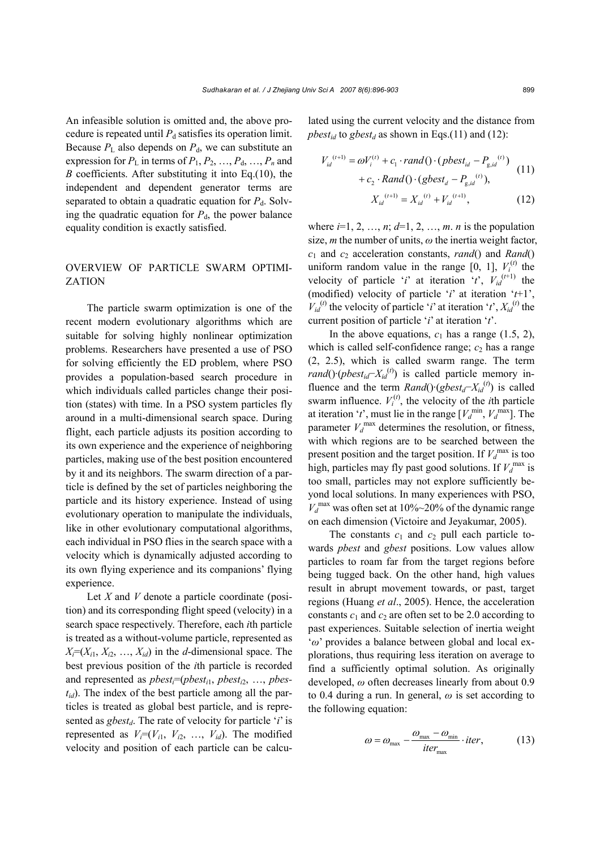An infeasible solution is omitted and, the above procedure is repeated until  $P_d$  satisfies its operation limit. Because  $P_L$  also depends on  $P_d$ , we can substitute an expression for  $P_L$  in terms of  $P_1, P_2, \ldots, P_d, \ldots, P_n$  and *B* coefficients. After substituting it into Eq.(10), the independent and dependent generator terms are separated to obtain a quadratic equation for  $P_d$ . Solving the quadratic equation for  $P<sub>d</sub>$ , the power balance equality condition is exactly satisfied.

# OVERVIEW OF PARTICLE SWARM OPTIMI-**ZATION**

The particle swarm optimization is one of the recent modern evolutionary algorithms which are suitable for solving highly nonlinear optimization problems. Researchers have presented a use of PSO for solving efficiently the ED problem, where PSO provides a population-based search procedure in which individuals called particles change their position (states) with time. In a PSO system particles fly around in a multi-dimensional search space. During flight, each particle adjusts its position according to its own experience and the experience of neighboring particles, making use of the best position encountered by it and its neighbors. The swarm direction of a particle is defined by the set of particles neighboring the particle and its history experience. Instead of using evolutionary operation to manipulate the individuals, like in other evolutionary computational algorithms, each individual in PSO flies in the search space with a velocity which is dynamically adjusted according to its own flying experience and its companions' flying experience.

Let *X* and *V* denote a particle coordinate (position) and its corresponding flight speed (velocity) in a search space respectively. Therefore, each *i*th particle is treated as a without-volume particle, represented as  $X_i=(X_{i1}, X_{i2}, \ldots, X_{id})$  in the *d*-dimensional space. The best previous position of the *i*th particle is recorded and represented as  $pbest_i = (pbest_{i1}, pbest_{i2}, ..., pbest_{i2})$  $t_{id}$ ). The index of the best particle among all the particles is treated as global best particle, and is represented as *gbest<sub>d</sub>*. The rate of velocity for particle '*i*' is represented as  $V_i=(V_{i1}, V_{i2}, \ldots, V_{id})$ . The modified velocity and position of each particle can be calcu-

lated using the current velocity and the distance from *pbest<sub>id</sub>* to *gbest<sub>d</sub>* as shown in Eqs.(11) and (12):

$$
V_{id}^{(t+1)} = \omega V_i^{(t)} + c_1 \cdot rand() \cdot (pbest_{id} - P_{g,id}^{(t)})
$$
  
+  $c_2 \cdot Rand() \cdot (gbest_d - P_{g,id}^{(t)}),$   

$$
X_{id}^{(t+1)} = X_{id}^{(t)} + V_{id}^{(t+1)},
$$
 (12)

where  $i=1, 2, ..., n$ ;  $d=1, 2, ..., m$ . *n* is the population size, *m* the number of units, *ω* the inertia weight factor, *c*1 and *c*2 acceleration constants, *rand*() and *Rand*() uniform random value in the range  $[0, 1]$ ,  $V_i^{(t)}$  the velocity of particle '*i*' at iteration '*t*',  $V_{id}^{(t+1)}$  the (modified) velocity of particle '*i*' at iteration '*t*+1',  $V_{id}^{(t)}$  the velocity of particle '*i*' at iteration '*t*',  $X_{id}^{(t)}$  the current position of particle '*i*' at iteration '*t*'.

In the above equations,  $c_1$  has a range (1.5, 2), which is called self-confidence range;  $c_2$  has a range (2, 2.5), which is called swarm range. The term *rand*()·(*pbest<sub>id</sub>*−*X<sub>id</sub>*<sup>(*t*)</sup>) is called particle memory influence and the term  $Rand()$ ·( $gbest_d$ <sup>−</sup> $X_{id}^{(t)}$ ) is called swarm influence.  $V_i^{(t)}$ , the velocity of the *i*th particle at iteration '*t*', must lie in the range  $[V_d^{\text{min}}, V_d^{\text{max}}]$ . The parameter  $V_d^{\text{max}}$  determines the resolution, or fitness, with which regions are to be searched between the present position and the target position. If  $V_d^{\text{max}}$  is too high, particles may fly past good solutions. If  $V_d^{\text{max}}$  is too small, particles may not explore sufficiently beyond local solutions. In many experiences with PSO,  $V_d^{\text{max}}$  was often set at 10%~20% of the dynamic range on each dimension (Victoire and Jeyakumar, 2005).

The constants  $c_1$  and  $c_2$  pull each particle towards *pbest* and *gbest* positions. Low values allow particles to roam far from the target regions before being tugged back. On the other hand, high values result in abrupt movement towards, or past, target regions (Huang *et al*., 2005). Hence, the acceleration constants  $c_1$  and  $c_2$  are often set to be 2.0 according to past experiences. Suitable selection of inertia weight '*ω*' provides a balance between global and local explorations, thus requiring less iteration on average to find a sufficiently optimal solution. As originally developed, *ω* often decreases linearly from about 0.9 to 0.4 during a run. In general, *ω* is set according to the following equation:

$$
\omega = \omega_{\text{max}} - \frac{\omega_{\text{max}} - \omega_{\text{min}}}{iter_{\text{max}}} \cdot iter,
$$
 (13)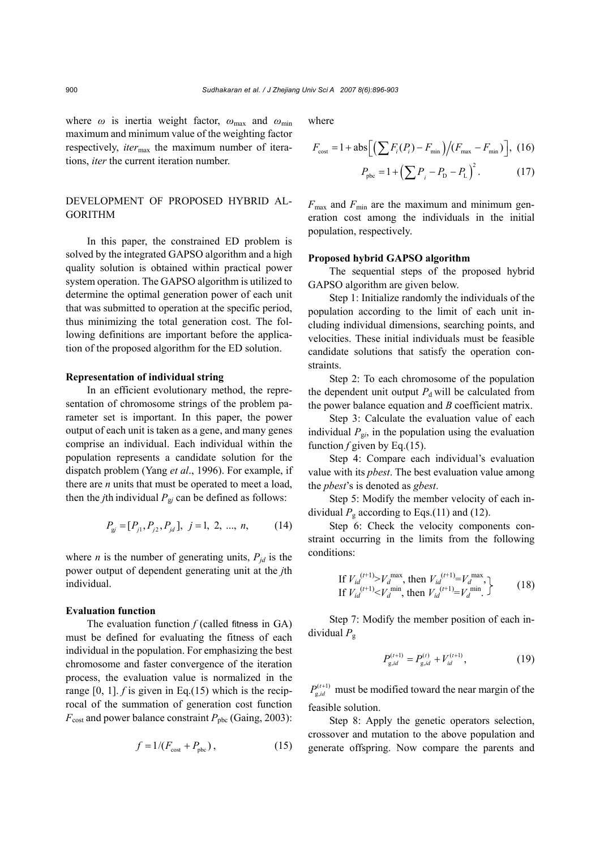where *ω* is inertia weight factor, *ω*max and *ω*min maximum and minimum value of the weighting factor respectively, *iter*<sub>max</sub> the maximum number of iterations, *iter* the current iteration number.

# DEVELOPMENT OF PROPOSED HYBRID AL-GORITHM

In this paper, the constrained ED problem is solved by the integrated GAPSO algorithm and a high quality solution is obtained within practical power system operation. The GAPSO algorithm is utilized to determine the optimal generation power of each unit that was submitted to operation at the specific period, thus minimizing the total generation cost. The following definitions are important before the application of the proposed algorithm for the ED solution.

#### **Representation of individual string**

In an efficient evolutionary method, the representation of chromosome strings of the problem parameter set is important. In this paper, the power output of each unit is taken as a gene, and many genes comprise an individual. Each individual within the population represents a candidate solution for the dispatch problem (Yang *et al*., 1996). For example, if there are *n* units that must be operated to meet a load, then the *j*th individual  $P_{\text{g}j}$  can be defined as follows:

$$
P_{\rm gj} = [P_{j1}, P_{j2}, P_{jd}], \ j = 1, 2, ..., n,
$$
 (14)

where *n* is the number of generating units,  $P_{id}$  is the power output of dependent generating unit at the *j*th individual.

#### **Evaluation function**

The evaluation function *f* (called fitness in GA) must be defined for evaluating the fitness of each individual in the population. For emphasizing the best chromosome and faster convergence of the iteration process, the evaluation value is normalized in the range [0, 1]. *f* is given in Eq.(15) which is the reciprocal of the summation of generation cost function  $F_{\text{cost}}$  and power balance constraint  $P_{\text{pbc}}$  (Gaing, 2003):

$$
f = 1/(F_{\text{cost}} + P_{\text{pbc}}),\tag{15}
$$

where

$$
F_{\text{cost}} = 1 + \text{abs} \Big[ \Big( \sum F_i(P_i) - F_{\text{min}} \Big) / (F_{\text{max}} - F_{\text{min}}) \Big], \ (16)
$$

$$
P_{\rm pbc} = 1 + \left(\sum P_i - P_{\rm D} - P_{\rm L}\right)^2. \tag{17}
$$

 $F_{\text{max}}$  and  $F_{\text{min}}$  are the maximum and minimum generation cost among the individuals in the initial population, respectively.

## **Proposed hybrid GAPSO algorithm**

The sequential steps of the proposed hybrid GAPSO algorithm are given below.

Step 1: Initialize randomly the individuals of the population according to the limit of each unit including individual dimensions, searching points, and velocities. These initial individuals must be feasible candidate solutions that satisfy the operation constraints.

Step 2: To each chromosome of the population the dependent unit output  $P_d$  will be calculated from the power balance equation and *B* coefficient matrix.

Step 3: Calculate the evaluation value of each individual  $P_{gi}$ , in the population using the evaluation function  $f$  given by Eq.(15).

Step 4: Compare each individual's evaluation value with its *pbest*. The best evaluation value among the *pbest*'s is denoted as *gbest*.

Step 5: Modify the member velocity of each individual  $P_g$  according to Eqs.(11) and (12).

Step 6: Check the velocity components constraint occurring in the limits from the following conditions:

If 
$$
V_{id}^{(t+1)} > V_d^{\max}
$$
, then  $V_{id}^{(t+1)} = V_d^{\max}$ ,  
If  $V_{id}^{(t+1)} < V_d^{\min}$ , then  $V_{id}^{(t+1)} = V_d^{\min}$ . (18)

Step 7: Modify the member position of each individual *P*<sup>g</sup>

$$
P_{g,id}^{(t+1)} = P_{g,id}^{(t)} + V_{id}^{(t+1)},\tag{19}
$$

 $P_{g, id}^{(t+1)}$  must be modified toward the near margin of the feasible solution.

Step 8: Apply the genetic operators selection, crossover and mutation to the above population and generate offspring. Now compare the parents and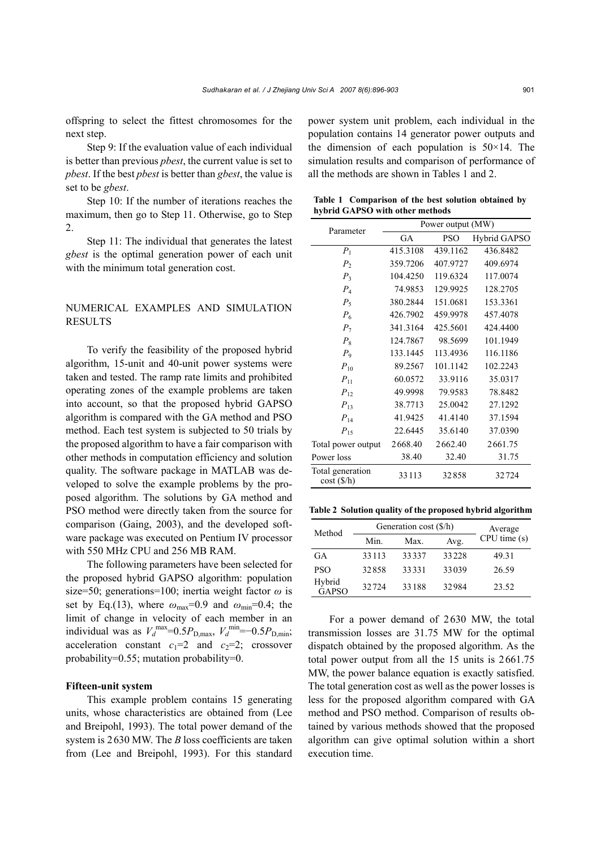offspring to select the fittest chromosomes for the next step.

Step 9: If the evaluation value of each individual is better than previous *pbest*, the current value is set to *pbest*. If the best *pbest* is better than *gbest*, the value is set to be *gbest*.

Step 10: If the number of iterations reaches the maximum, then go to Step 11. Otherwise, go to Step 2.

Step 11: The individual that generates the latest *gbest* is the optimal generation power of each unit with the minimum total generation cost.

# NUMERICAL EXAMPLES AND SIMULATION **RESULTS**

To verify the feasibility of the proposed hybrid algorithm, 15-unit and 40-unit power systems were taken and tested. The ramp rate limits and prohibited operating zones of the example problems are taken into account, so that the proposed hybrid GAPSO algorithm is compared with the GA method and PSO method. Each test system is subjected to 50 trials by the proposed algorithm to have a fair comparison with other methods in computation efficiency and solution quality. The software package in MATLAB was developed to solve the example problems by the proposed algorithm. The solutions by GA method and PSO method were directly taken from the source for comparison (Gaing, 2003), and the developed software package was executed on Pentium IV processor with 550 MHz CPU and 256 MB RAM.

The following parameters have been selected for the proposed hybrid GAPSO algorithm: population size=50; generations=100; inertia weight factor *ω* is set by Eq.(13), where  $\omega_{\text{max}}=0.9$  and  $\omega_{\text{min}}=0.4$ ; the limit of change in velocity of each member in an individual was as  $V_d^{\text{max}}=0.5P_{\text{D,max}}$ ,  $V_d^{\text{min}}=-0.5P_{\text{D,min}}$ ; acceleration constant  $c_1=2$  and  $c_2=2$ ; crossover probability=0.55; mutation probability=0.

#### **Fifteen-unit system**

This example problem contains 15 generating units, whose characteristics are obtained from (Lee and Breipohl, 1993). The total power demand of the system is 2630 MW. The *B* loss coefficients are taken from (Lee and Breipohl, 1993). For this standard power system unit problem, each individual in the population contains 14 generator power outputs and the dimension of each population is  $50\times14$ . The simulation results and comparison of performance of all the methods are shown in Tables 1 and 2.

**Table 1 Comparison of the best solution obtained by hybrid GAPSO with other methods** 

| Parameter                       | Power output (MW) |            |              |  |
|---------------------------------|-------------------|------------|--------------|--|
|                                 | GA                | <b>PSO</b> | Hybrid GAPSO |  |
| $P_1$                           | 415.3108          | 439.1162   | 436.8482     |  |
| P <sub>2</sub>                  | 359.7206          | 407.9727   | 409.6974     |  |
| $P_3$                           | 104.4250          | 119.6324   | 117.0074     |  |
| $P_4$                           | 74.9853           | 129.9925   | 128.2705     |  |
| $P_5$                           | 380.2844          | 151.0681   | 153.3361     |  |
| $P_6$                           | 426.7902          | 459.9978   | 457.4078     |  |
| $P_7$                           | 341.3164          | 425.5601   | 424.4400     |  |
| $P_8$                           | 124.7867          | 98.5699    | 101.1949     |  |
| $P_{9}$                         | 133.1445          | 113.4936   | 116.1186     |  |
| $P_{10}$                        | 89.2567           | 101.1142   | 102.2243     |  |
| $P_{11}$                        | 60.0572           | 33.9116    | 35.0317      |  |
| $P_{12}$                        | 49.9998           | 79.9583    | 78.8482      |  |
| $P_{13}$                        | 38.7713           | 25.0042    | 27.1292      |  |
| $P_{14}$                        | 41.9425           | 41.4140    | 37.1594      |  |
| $P_{15}$                        | 22.6445           | 35.6140    | 37.0390      |  |
| Total power output              | 2668.40           | 2662.40    | 2661.75      |  |
| Power loss                      | 38.40             | 32.40      | 31.75        |  |
| Total generation<br>cost (\$/h) | 33113             | 32858      | 32724        |  |

**Table 2 Solution quality of the proposed hybrid algorithm**

| Method                 | Generation cost (\$/h) |       |       | Average     |
|------------------------|------------------------|-------|-------|-------------|
|                        | Min.                   | Max.  | Avg.  | CPU time(s) |
| GA                     | 33113                  | 33337 | 33228 | 49.31       |
| <b>PSO</b>             | 32858                  | 33331 | 33039 | 26.59       |
| Hybrid<br><b>GAPSO</b> | 32724                  | 33188 | 32984 | 23.52       |

For a power demand of 2630 MW, the total transmission losses are 31.75 MW for the optimal dispatch obtained by the proposed algorithm. As the total power output from all the 15 units is 2661.75 MW, the power balance equation is exactly satisfied. The total generation cost as well as the power losses is less for the proposed algorithm compared with GA method and PSO method. Comparison of results obtained by various methods showed that the proposed algorithm can give optimal solution within a short execution time.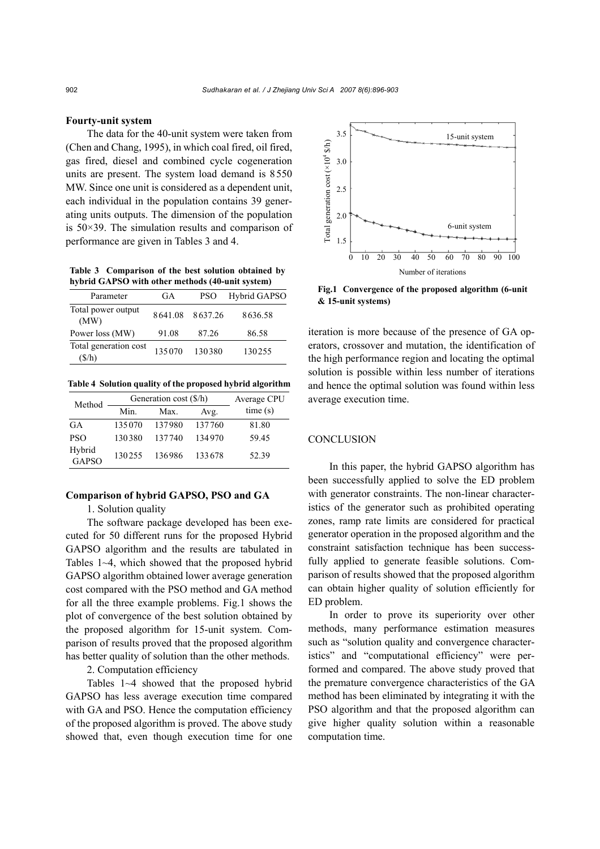### **Fourty-unit system**

The data for the 40-unit system were taken from (Chen and Chang, 1995), in which coal fired, oil fired, gas fired, diesel and combined cycle cogeneration units are present. The system load demand is 8550 MW. Since one unit is considered as a dependent unit, each individual in the population contains 39 generating units outputs. The dimension of the population is 50×39. The simulation results and comparison of performance are given in Tables 3 and 4.

**Table 3 Comparison of the best solution obtained by hybrid GAPSO with other methods (40-unit system)** 

| Total power output<br>8637.26<br>8641.08<br>8636.58<br>(MW)<br>Power loss (MW)<br>91.08<br>87.26<br>86.58<br>Total generation cost<br>135070<br>130380<br>130255 | Parameter | GA | PSO | Hybrid GAPSO |
|------------------------------------------------------------------------------------------------------------------------------------------------------------------|-----------|----|-----|--------------|
|                                                                                                                                                                  |           |    |     |              |
|                                                                                                                                                                  |           |    |     |              |
|                                                                                                                                                                  | (S/h)     |    |     |              |

**Table 4 Solution quality of the proposed hybrid algorithm**

| Method                 | Generation cost (\$/h) |        |        | Average CPU |
|------------------------|------------------------|--------|--------|-------------|
|                        | Min.                   | Max.   | Avg.   | time(s)     |
| GA                     | 135070                 | 137980 | 137760 | 81.80       |
| <b>PSO</b>             | 130380                 | 137740 | 134970 | 59.45       |
| Hybrid<br><b>GAPSO</b> | 130255                 | 136986 | 133678 | 52.39       |

### **Comparison of hybrid GAPSO, PSO and GA**

1. Solution quality

The software package developed has been executed for 50 different runs for the proposed Hybrid GAPSO algorithm and the results are tabulated in Tables 1~4, which showed that the proposed hybrid GAPSO algorithm obtained lower average generation cost compared with the PSO method and GA method for all the three example problems. Fig.1 shows the plot of convergence of the best solution obtained by the proposed algorithm for 15-unit system. Comparison of results proved that the proposed algorithm has better quality of solution than the other methods.

2. Computation efficiency

Tables 1~4 showed that the proposed hybrid GAPSO has less average execution time compared with GA and PSO. Hence the computation efficiency of the proposed algorithm is proved. The above study showed that, even though execution time for one



**Fig.1 Convergence of the proposed algorithm (6-unit** 

iteration is more because of the presence of GA operators, crossover and mutation, the identification of the high performance region and locating the optimal solution is possible within less number of iterations and hence the optimal solution was found within less average execution time.

# **CONCLUSION**

In this paper, the hybrid GAPSO algorithm has been successfully applied to solve the ED problem with generator constraints. The non-linear characteristics of the generator such as prohibited operating zones, ramp rate limits are considered for practical generator operation in the proposed algorithm and the constraint satisfaction technique has been successfully applied to generate feasible solutions. Comparison of results showed that the proposed algorithm can obtain higher quality of solution efficiently for ED problem.

In order to prove its superiority over other methods, many performance estimation measures such as "solution quality and convergence characteristics" and "computational efficiency" were performed and compared. The above study proved that the premature convergence characteristics of the GA method has been eliminated by integrating it with the PSO algorithm and that the proposed algorithm can give higher quality solution within a reasonable computation time.